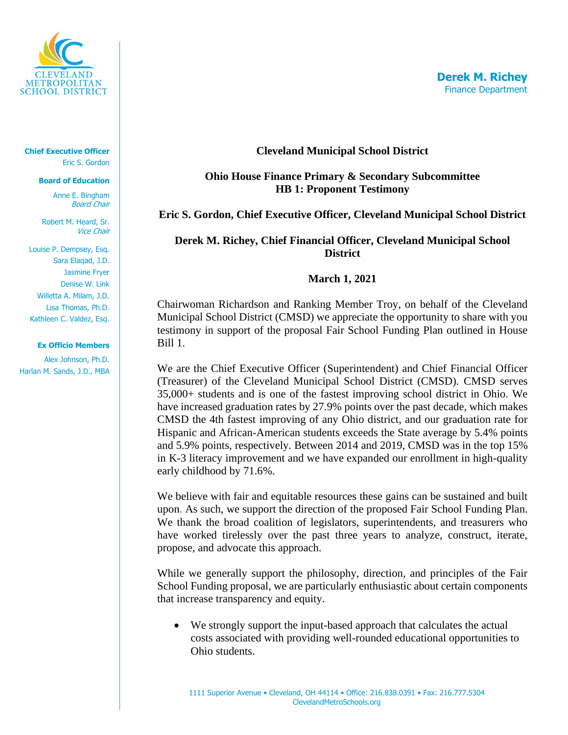

**Chief Executive Officer** Eric S. Gordon

#### **Board of Education**

Anne E. Bingham Board Chair

Robert M. Heard, Sr. Vice Chair

Louise P. Dempsey, Esq. Sara Elaqad, J.D. Jasmine Fryer Denise W. Link Willetta A. Milam, J.D. Lisa Thomas, Ph.D. Kathleen C. Valdez, Esq.

#### **Ex Officio Members**

Alex Johnson, Ph.D. Harlan M. Sands, J.D., MBA

### **Cleveland Municipal School District**

# **Ohio House Finance Primary & Secondary Subcommittee HB 1: Proponent Testimony**

## **Eric S. Gordon, Chief Executive Officer, Cleveland Municipal School District**

# **Derek M. Richey, Chief Financial Officer, Cleveland Municipal School District**

### **March 1, 2021**

Chairwoman Richardson and Ranking Member Troy, on behalf of the Cleveland Municipal School District (CMSD) we appreciate the opportunity to share with you testimony in support of the proposal Fair School Funding Plan outlined in House Bill 1.

We are the Chief Executive Officer (Superintendent) and Chief Financial Officer (Treasurer) of the Cleveland Municipal School District (CMSD). CMSD serves 35,000+ students and is one of the fastest improving school district in Ohio. We have increased graduation rates by 27.9% points over the past decade, which makes CMSD the 4th fastest improving of any Ohio district, and our graduation rate for Hispanic and African-American students exceeds the State average by 5.4% points and 5.9% points, respectively. Between 2014 and 2019, CMSD was in the top 15% in K-3 literacy improvement and we have expanded our enrollment in high-quality early childhood by 71.6%.

We believe with fair and equitable resources these gains can be sustained and built upon. As such, we support the direction of the proposed Fair School Funding Plan. We thank the broad coalition of legislators, superintendents, and treasurers who have worked tirelessly over the past three years to analyze, construct, iterate, propose, and advocate this approach.

While we generally support the philosophy, direction, and principles of the Fair School Funding proposal, we are particularly enthusiastic about certain components that increase transparency and equity.

We strongly support the input-based approach that calculates the actual costs associated with providing well-rounded educational opportunities to Ohio students.